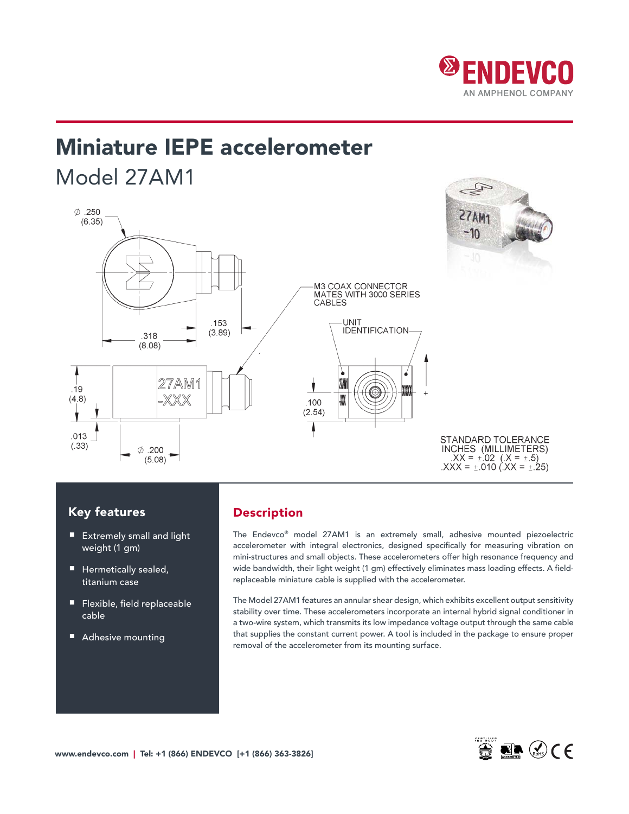

# Miniature IEPE accelerometer Model 27AM1



## Key features

- Extremely small and light weight (1 gm)
- Hermetically sealed, titanium case
- Flexible, field replaceable cable
- Adhesive mounting

## Description

The Endevco® model 27AM1 is an extremely small, adhesive mounted piezoelectric accelerometer with integral electronics, designed specifically for measuring vibration on mini-structures and small objects. These accelerometers offer high resonance frequency and wide bandwidth, their light weight (1 gm) effectively eliminates mass loading effects. A fieldreplaceable miniature cable is supplied with the accelerometer.

The Model 27AM1 features an annular shear design, which exhibits excellent output sensitivity stability over time. These accelerometers incorporate an internal hybrid signal conditioner in a two-wire system, which transmits its low impedance voltage output through the same cable that supplies the constant current power. A tool is included in the package to ensure proper removal of the accelerometer from its mounting surface.

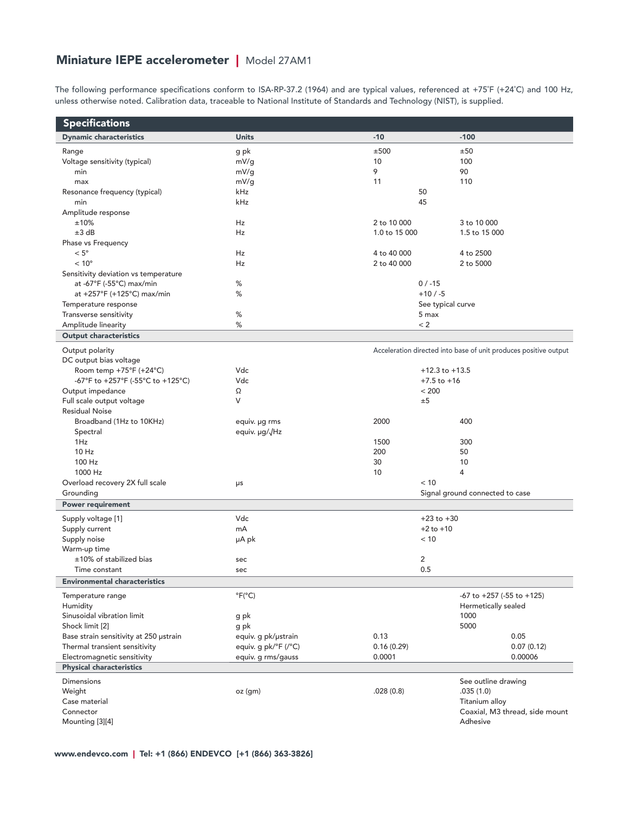# Miniature IEPE accelerometer | Model 27AM1

The following performance specifications conform to ISA-RP-37.2 (1964) and are typical values, referenced at +75˚F (+24˚C) and 100 Hz, unless otherwise noted. Calibration data, traceable to National Institute of Standards and Technology (NIST), is supplied.

| <b>Specifications</b>                        |                           |                                                                  |                                     |  |
|----------------------------------------------|---------------------------|------------------------------------------------------------------|-------------------------------------|--|
| <b>Dynamic characteristics</b>               | <b>Units</b>              | $-10$                                                            | $-100$                              |  |
| Range                                        | g pk                      | ±500                                                             | ±50                                 |  |
| Voltage sensitivity (typical)                | mV/g                      | 10                                                               | 100                                 |  |
| min                                          | mV/g                      | 9                                                                | 90                                  |  |
| max                                          | mV/g                      | 11                                                               | 110                                 |  |
| Resonance frequency (typical)                | kHz                       | 50                                                               |                                     |  |
| min                                          | kHz                       | 45                                                               |                                     |  |
| Amplitude response                           |                           |                                                                  |                                     |  |
| ±10%                                         | Hz                        | 2 to 10 000                                                      | 3 to 10 000                         |  |
| ±3 dB                                        | Hz                        | 1.0 to 15 000                                                    | 1.5 to 15 000                       |  |
| Phase vs Frequency                           |                           |                                                                  |                                     |  |
| $< 5^{\circ}$                                | Hz                        | 4 to 40 000                                                      | 4 to 2500                           |  |
| $< 10^{\circ}$                               | Hz                        | 2 to 40 000                                                      | 2 to 5000                           |  |
| Sensitivity deviation vs temperature         |                           |                                                                  |                                     |  |
| at -67 $\degree$ F (-55 $\degree$ C) max/min | %                         | $0/ -15$                                                         |                                     |  |
| at +257°F (+125°C) max/min                   | %                         | $+10/ -5$                                                        |                                     |  |
| Temperature response                         |                           |                                                                  | See typical curve                   |  |
| Transverse sensitivity                       | %                         | 5 max                                                            |                                     |  |
| Amplitude linearity                          | %                         | < 2                                                              |                                     |  |
| <b>Output characteristics</b>                |                           |                                                                  |                                     |  |
| Output polarity                              |                           | Acceleration directed into base of unit produces positive output |                                     |  |
| DC output bias voltage                       |                           |                                                                  |                                     |  |
| Room temp +75°F (+24°C)                      | Vdc                       | $+12.3$ to $+13.5$                                               |                                     |  |
| -67°F to +257°F (-55°C to +125°C)            | Vdc                       | $+7.5$ to $+16$                                                  |                                     |  |
| Output impedance                             | Ω                         | < 200                                                            |                                     |  |
| Full scale output voltage                    | V                         | ±5                                                               |                                     |  |
| <b>Residual Noise</b>                        |                           |                                                                  |                                     |  |
| Broadband (1Hz to 10KHz)                     | equiv. µg rms             | 2000                                                             | 400                                 |  |
| Spectral                                     | equiv. µg/√Hz             |                                                                  |                                     |  |
| 1Hz                                          |                           | 1500                                                             | 300                                 |  |
| 10 Hz                                        |                           | 200                                                              | 50                                  |  |
| 100 Hz                                       |                           | 30                                                               | 10                                  |  |
| 1000 Hz                                      |                           | 10                                                               | $\overline{4}$                      |  |
| Overload recovery 2X full scale              | μs                        | < 10                                                             |                                     |  |
| Grounding                                    |                           |                                                                  | Signal ground connected to case     |  |
| <b>Power requirement</b>                     |                           |                                                                  |                                     |  |
| Supply voltage [1]                           | Vdc                       | $+23$ to $+30$                                                   |                                     |  |
| Supply current                               | mA                        | $+2$ to $+10$                                                    |                                     |  |
| Supply noise                                 | µA pk                     | < 10                                                             |                                     |  |
| Warm-up time                                 |                           |                                                                  |                                     |  |
| ±10% of stabilized bias                      | sec                       | 2                                                                |                                     |  |
| Time constant                                | sec                       | 0.5                                                              |                                     |  |
| <b>Environmental characteristics</b>         |                           |                                                                  |                                     |  |
| Temperature range                            | $\degree$ F( $\degree$ C) |                                                                  | $-67$ to $+257$ ( $-55$ to $+125$ ) |  |
| Humidity                                     |                           |                                                                  | Hermetically sealed                 |  |
| Sinusoidal vibration limit                   | g pk                      |                                                                  | 1000                                |  |
| Shock limit [2]                              | g pk                      |                                                                  | 5000                                |  |
| Base strain sensitivity at 250 ustrain       | equiv. g pk/ustrain       | 0.13                                                             | 0.05                                |  |
| Thermal transient sensitivity                | equiv. g pk/°F (/°C)      | 0.16(0.29)                                                       | 0.07(0.12)                          |  |
| Electromagnetic sensitivity                  | equiv. g rms/gauss        | 0.0001                                                           | 0.00006                             |  |
| <b>Physical characteristics</b>              |                           |                                                                  |                                     |  |
| <b>Dimensions</b>                            |                           |                                                                  | See outline drawing                 |  |
| Weight                                       | oz (gm)                   | .028(0.8)                                                        | .035(1.0)                           |  |
| Case material                                |                           |                                                                  | Titanium alloy                      |  |
| Connector                                    |                           |                                                                  | Coaxial, M3 thread, side mount      |  |
| Mounting [3][4]                              |                           |                                                                  | Adhesive                            |  |